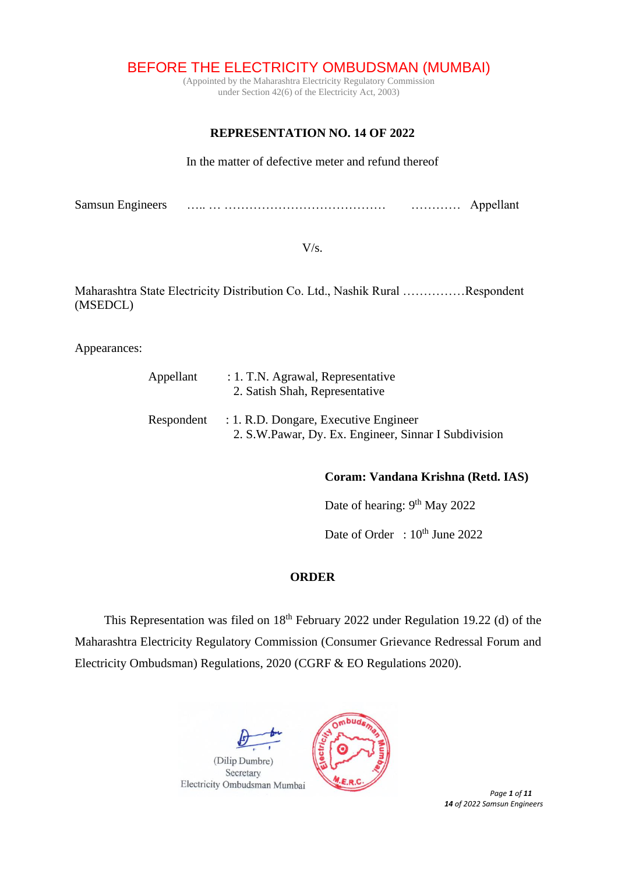BEFORE THE ELECTRICITY OMBUDSMAN (MUMBAI)

(Appointed by the Maharashtra Electricity Regulatory Commission under Section 42(6) of the Electricity Act, 2003)

# **REPRESENTATION NO. 14 OF 2022**

In the matter of defective meter and refund thereof

Samsun Engineers ….. … ………………………………… ………… Appellant

 $V/s$ .

Maharashtra State Electricity Distribution Co. Ltd., Nashik Rural ……………Respondent (MSEDCL)

Appearances:

| Appellant  | : 1. T.N. Agrawal, Representative<br>2. Satish Shah, Representative                              |
|------------|--------------------------------------------------------------------------------------------------|
| Respondent | $: 1. R.D.$ Dongare, Executive Engineer<br>2. S.W. Pawar, Dy. Ex. Engineer, Sinnar I Subdivision |

#### **Coram: Vandana Krishna (Retd. IAS)**

Date of hearing: 9<sup>th</sup> May 2022

Date of Order :  $10^{th}$  June 2022

#### **ORDER**

This Representation was filed on  $18<sup>th</sup>$  February 2022 under Regulation 19.22 (d) of the Maharashtra Electricity Regulatory Commission (Consumer Grievance Redressal Forum and Electricity Ombudsman) Regulations, 2020 (CGRF & EO Regulations 2020).



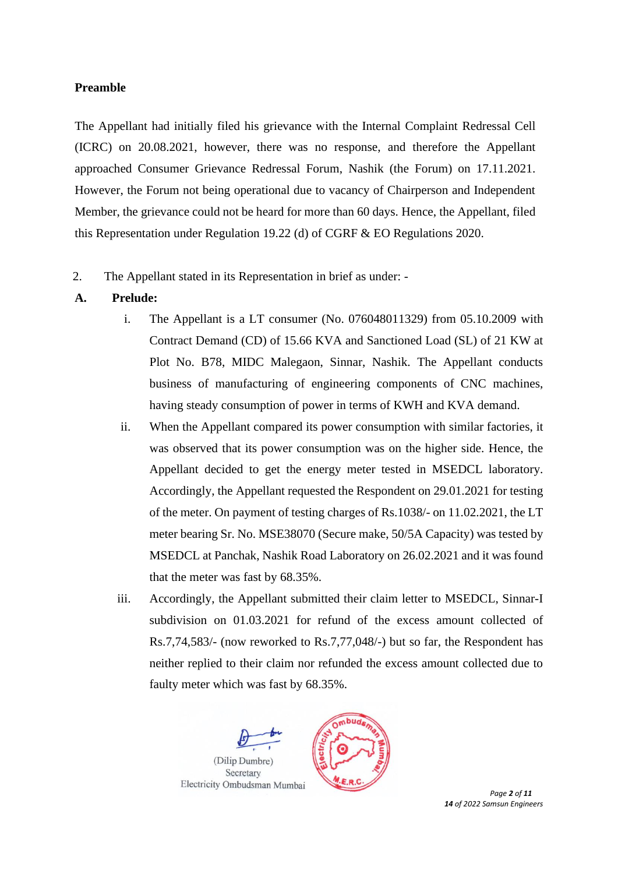#### **Preamble**

The Appellant had initially filed his grievance with the Internal Complaint Redressal Cell (ICRC) on 20.08.2021, however, there was no response, and therefore the Appellant approached Consumer Grievance Redressal Forum, Nashik (the Forum) on 17.11.2021. However, the Forum not being operational due to vacancy of Chairperson and Independent Member, the grievance could not be heard for more than 60 days. Hence, the Appellant, filed this Representation under Regulation 19.22 (d) of CGRF & EO Regulations 2020.

2. The Appellant stated in its Representation in brief as under: -

### **A. Prelude:**

- i. The Appellant is a LT consumer (No. 076048011329) from 05.10.2009 with Contract Demand (CD) of 15.66 KVA and Sanctioned Load (SL) of 21 KW at Plot No. B78, MIDC Malegaon, Sinnar, Nashik. The Appellant conducts business of manufacturing of engineering components of CNC machines, having steady consumption of power in terms of KWH and KVA demand.
- ii. When the Appellant compared its power consumption with similar factories, it was observed that its power consumption was on the higher side. Hence, the Appellant decided to get the energy meter tested in MSEDCL laboratory. Accordingly, the Appellant requested the Respondent on 29.01.2021 for testing of the meter. On payment of testing charges of Rs.1038/- on 11.02.2021, the LT meter bearing Sr. No. MSE38070 (Secure make, 50/5A Capacity) was tested by MSEDCL at Panchak, Nashik Road Laboratory on 26.02.2021 and it was found that the meter was fast by 68.35%.
- iii. Accordingly, the Appellant submitted their claim letter to MSEDCL, Sinnar-I subdivision on 01.03.2021 for refund of the excess amount collected of Rs.7,74,583/- (now reworked to Rs.7,77,048/-) but so far, the Respondent has neither replied to their claim nor refunded the excess amount collected due to faulty meter which was fast by 68.35%.





 *Page 2 of 11 14 of 2022 Samsun Engineers*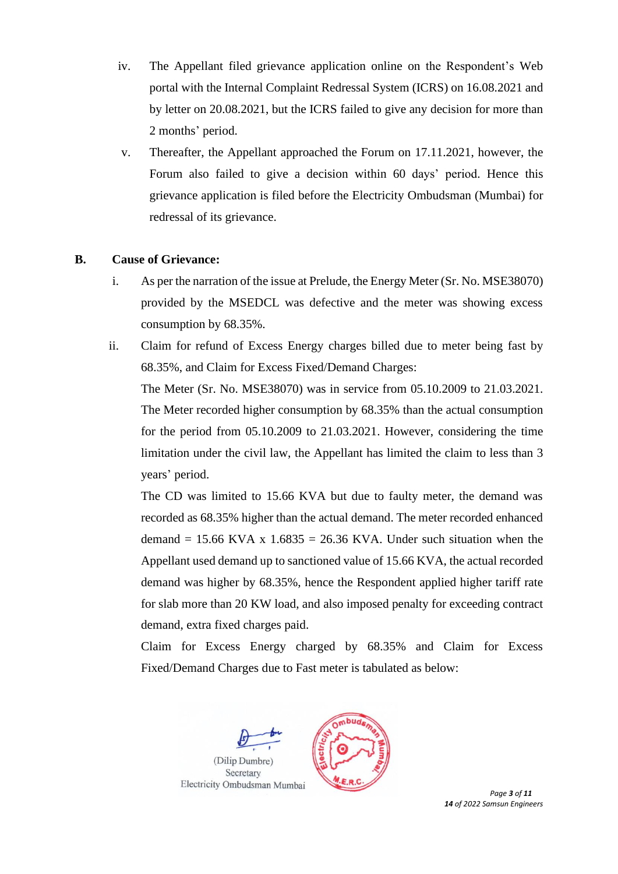- iv. The Appellant filed grievance application online on the Respondent's Web portal with the Internal Complaint Redressal System (ICRS) on 16.08.2021 and by letter on 20.08.2021, but the ICRS failed to give any decision for more than 2 months' period.
- v. Thereafter, the Appellant approached the Forum on 17.11.2021, however, the Forum also failed to give a decision within 60 days' period. Hence this grievance application is filed before the Electricity Ombudsman (Mumbai) for redressal of its grievance.

#### **B. Cause of Grievance:**

- i. As per the narration of the issue at Prelude, the Energy Meter (Sr. No. MSE38070) provided by the MSEDCL was defective and the meter was showing excess consumption by 68.35%.
- ii. Claim for refund of Excess Energy charges billed due to meter being fast by 68.35%, and Claim for Excess Fixed/Demand Charges:

The Meter (Sr. No. MSE38070) was in service from 05.10.2009 to 21.03.2021. The Meter recorded higher consumption by 68.35% than the actual consumption for the period from 05.10.2009 to 21.03.2021. However, considering the time limitation under the civil law, the Appellant has limited the claim to less than 3 years' period.

The CD was limited to 15.66 KVA but due to faulty meter, the demand was recorded as 68.35% higher than the actual demand. The meter recorded enhanced demand = 15.66 KVA x  $1.6835 = 26.36$  KVA. Under such situation when the Appellant used demand up to sanctioned value of 15.66 KVA, the actual recorded demand was higher by 68.35%, hence the Respondent applied higher tariff rate for slab more than 20 KW load, and also imposed penalty for exceeding contract demand, extra fixed charges paid.

Claim for Excess Energy charged by 68.35% and Claim for Excess Fixed/Demand Charges due to Fast meter is tabulated as below:





 *Page 3 of 11 14 of 2022 Samsun Engineers*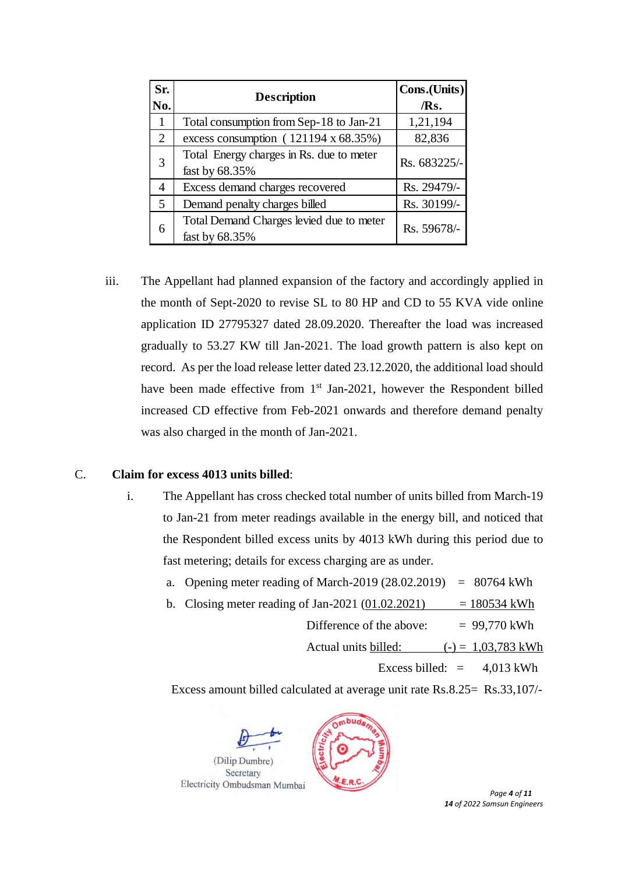| Sr.<br>No. | <b>Description</b>                                         | Cons.(Units)<br>/Rs. |
|------------|------------------------------------------------------------|----------------------|
| 1          | Total consumption from Sep-18 to Jan-21                    | 1,21,194             |
| 2          | excess consumption (121194 x 68.35%)                       | 82,836               |
| 3          | Total Energy charges in Rs. due to meter<br>fast by 68.35% | Rs. 683225/-         |
| 4          | Excess demand charges recovered                            | Rs. 29479/-          |
| 5          | Demand penalty charges billed                              | Rs. 30199/-          |
| 6          | Total Demand Charges levied due to meter<br>fast by 68.35% | Rs. 59678/-          |

iii. The Appellant had planned expansion of the factory and accordingly applied in the month of Sept-2020 to revise SL to 80 HP and CD to 55 KVA vide online application ID 27795327 dated 28.09.2020. Thereafter the load was increased gradually to 53.27 KW till Jan-2021. The load growth pattern is also kept on record. As per the load release letter dated 23.12.2020, the additional load should have been made effective from 1<sup>st</sup> Jan-2021, however the Respondent billed increased CD effective from Feb-2021 onwards and therefore demand penalty was also charged in the month of Jan-2021.

#### C. **Claim for excess 4013 units billed**:

- i. The Appellant has cross checked total number of units billed from March-19 to Jan-21 from meter readings available in the energy bill, and noticed that the Respondent billed excess units by 4013 kWh during this period due to fast metering; details for excess charging are as under.
	- a. Opening meter reading of March-2019 (28.02.2019) =  $80764$  kWh
	- b. Closing meter reading of Jan-2021 (01.02.2021)  $= 180534$  kWh

Difference of the above:  $= 99,770$  kWh

Actual units billed:  $(-) = 1,03,783$  kWh

Excess billed:  $= 4.013$  kWh

Excess amount billed calculated at average unit rate Rs.8.25= Rs.33,107/-





 *Page 4 of 11 14 of 2022 Samsun Engineers*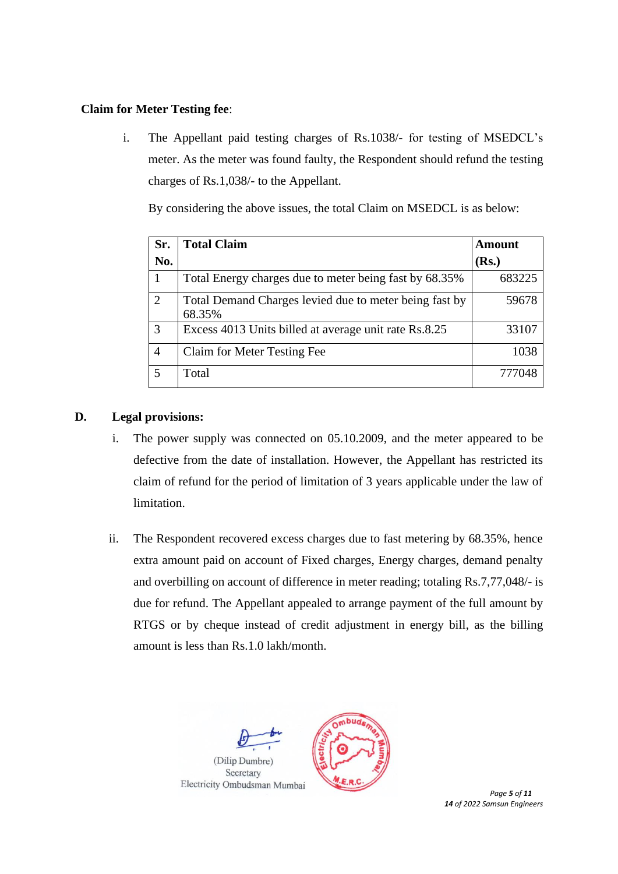## **Claim for Meter Testing fee**:

i. The Appellant paid testing charges of Rs.1038/- for testing of MSEDCL's meter. As the meter was found faulty, the Respondent should refund the testing charges of Rs.1,038/- to the Appellant.

By considering the above issues, the total Claim on MSEDCL is as below:

| Sr.            | <b>Total Claim</b>                                               | Amount |
|----------------|------------------------------------------------------------------|--------|
| No.            |                                                                  | (Rs.)  |
|                | Total Energy charges due to meter being fast by 68.35%           | 683225 |
| $\overline{2}$ | Total Demand Charges levied due to meter being fast by<br>68.35% | 59678  |
| 3              | Excess 4013 Units billed at average unit rate Rs.8.25            | 33107  |
| $\overline{4}$ | Claim for Meter Testing Fee                                      | 1038   |
| 5              | Total                                                            | 777048 |

# **D. Legal provisions:**

- i. The power supply was connected on 05.10.2009, and the meter appeared to be defective from the date of installation. However, the Appellant has restricted its claim of refund for the period of limitation of 3 years applicable under the law of limitation.
- ii. The Respondent recovered excess charges due to fast metering by 68.35%, hence extra amount paid on account of Fixed charges, Energy charges, demand penalty and overbilling on account of difference in meter reading; totaling Rs.7,77,048/- is due for refund. The Appellant appealed to arrange payment of the full amount by RTGS or by cheque instead of credit adjustment in energy bill, as the billing amount is less than Rs.1.0 lakh/month.





 *Page 5 of 11 14 of 2022 Samsun Engineers*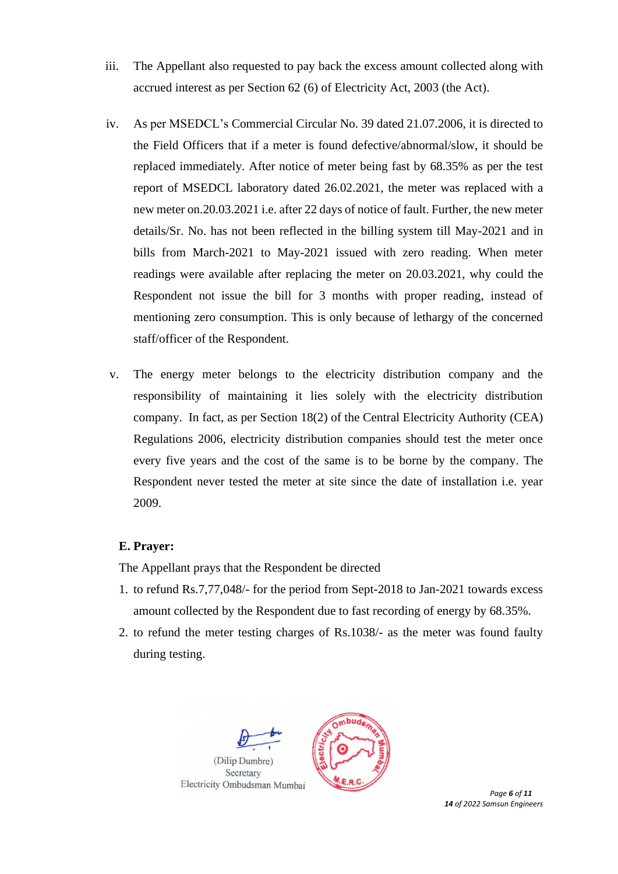- iii. The Appellant also requested to pay back the excess amount collected along with accrued interest as per Section 62 (6) of Electricity Act, 2003 (the Act).
- iv. As per MSEDCL's Commercial Circular No. 39 dated 21.07.2006, it is directed to the Field Officers that if a meter is found defective/abnormal/slow, it should be replaced immediately. After notice of meter being fast by 68.35% as per the test report of MSEDCL laboratory dated 26.02.2021, the meter was replaced with a new meter on.20.03.2021 i.e. after 22 days of notice of fault. Further, the new meter details/Sr. No. has not been reflected in the billing system till May-2021 and in bills from March-2021 to May-2021 issued with zero reading. When meter readings were available after replacing the meter on 20.03.2021, why could the Respondent not issue the bill for 3 months with proper reading, instead of mentioning zero consumption. This is only because of lethargy of the concerned staff/officer of the Respondent.
- v. The energy meter belongs to the electricity distribution company and the responsibility of maintaining it lies solely with the electricity distribution company. In fact, as per Section 18(2) of the Central Electricity Authority (CEA) Regulations 2006, electricity distribution companies should test the meter once every five years and the cost of the same is to be borne by the company. The Respondent never tested the meter at site since the date of installation i.e. year 2009.

## **E. Prayer:**

The Appellant prays that the Respondent be directed

- 1. to refund Rs.7,77,048/- for the period from Sept-2018 to Jan-2021 towards excess amount collected by the Respondent due to fast recording of energy by 68.35%.
- 2. to refund the meter testing charges of Rs.1038/- as the meter was found faulty during testing.





 *Page 6 of 11 14 of 2022 Samsun Engineers*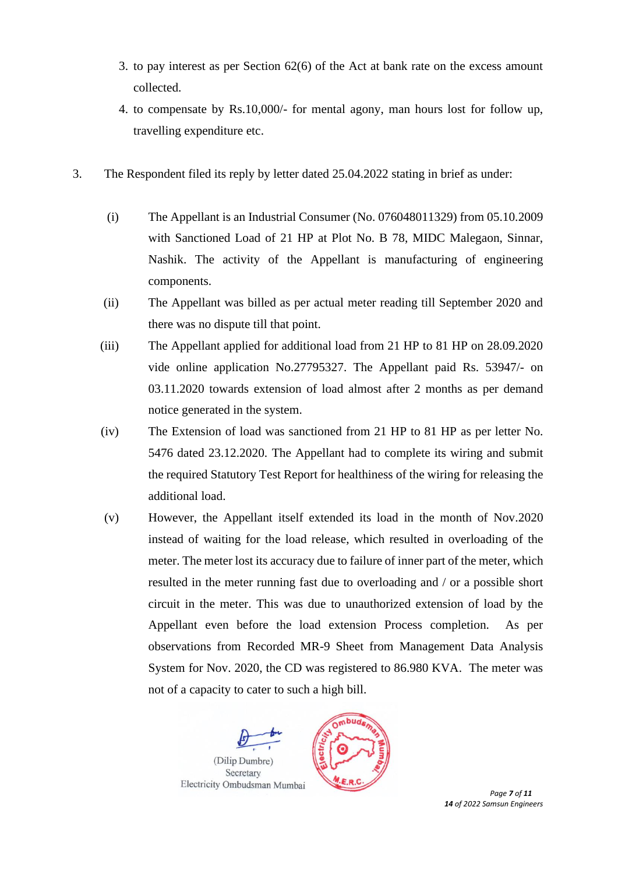- 3. to pay interest as per Section 62(6) of the Act at bank rate on the excess amount collected.
- 4. to compensate by Rs.10,000/- for mental agony, man hours lost for follow up, travelling expenditure etc.
- 3. The Respondent filed its reply by letter dated 25.04.2022 stating in brief as under:
	- (i) The Appellant is an Industrial Consumer (No. 076048011329) from 05.10.2009 with Sanctioned Load of 21 HP at Plot No. B 78, MIDC Malegaon, Sinnar, Nashik. The activity of the Appellant is manufacturing of engineering components.
	- (ii) The Appellant was billed as per actual meter reading till September 2020 and there was no dispute till that point.
	- (iii) The Appellant applied for additional load from 21 HP to 81 HP on 28.09.2020 vide online application No.27795327. The Appellant paid Rs. 53947/- on 03.11.2020 towards extension of load almost after 2 months as per demand notice generated in the system.
	- (iv) The Extension of load was sanctioned from 21 HP to 81 HP as per letter No. 5476 dated 23.12.2020. The Appellant had to complete its wiring and submit the required Statutory Test Report for healthiness of the wiring for releasing the additional load.
	- (v) However, the Appellant itself extended its load in the month of Nov.2020 instead of waiting for the load release, which resulted in overloading of the meter. The meter lost its accuracy due to failure of inner part of the meter, which resulted in the meter running fast due to overloading and / or a possible short circuit in the meter. This was due to unauthorized extension of load by the Appellant even before the load extension Process completion. As per observations from Recorded MR-9 Sheet from Management Data Analysis System for Nov. 2020, the CD was registered to 86.980 KVA. The meter was not of a capacity to cater to such a high bill.



*14 of 2022 Samsun Engineers*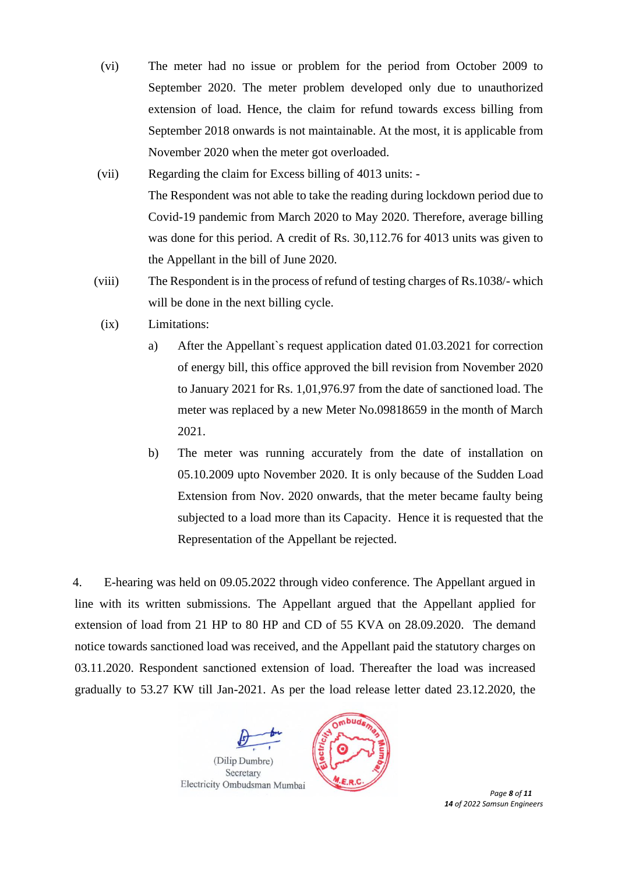- (vi) The meter had no issue or problem for the period from October 2009 to September 2020. The meter problem developed only due to unauthorized extension of load. Hence, the claim for refund towards excess billing from September 2018 onwards is not maintainable. At the most, it is applicable from November 2020 when the meter got overloaded.
- (vii) Regarding the claim for Excess billing of 4013 units: The Respondent was not able to take the reading during lockdown period due to Covid-19 pandemic from March 2020 to May 2020. Therefore, average billing was done for this period. A credit of Rs. 30,112.76 for 4013 units was given to the Appellant in the bill of June 2020.
- (viii) The Respondent is in the process of refund of testing charges of Rs.1038/- which will be done in the next billing cycle.
	- (ix) Limitations:
		- a) After the Appellant`s request application dated 01.03.2021 for correction of energy bill, this office approved the bill revision from November 2020 to January 2021 for Rs. 1,01,976.97 from the date of sanctioned load. The meter was replaced by a new Meter No.09818659 in the month of March 2021.
		- b) The meter was running accurately from the date of installation on 05.10.2009 upto November 2020. It is only because of the Sudden Load Extension from Nov. 2020 onwards, that the meter became faulty being subjected to a load more than its Capacity. Hence it is requested that the Representation of the Appellant be rejected.

4. E-hearing was held on 09.05.2022 through video conference. The Appellant argued in line with its written submissions. The Appellant argued that the Appellant applied for extension of load from 21 HP to 80 HP and CD of 55 KVA on 28.09.2020. The demand notice towards sanctioned load was received, and the Appellant paid the statutory charges on 03.11.2020. Respondent sanctioned extension of load. Thereafter the load was increased gradually to 53.27 KW till Jan-2021. As per the load release letter dated 23.12.2020, the





 *Page 8 of 11 14 of 2022 Samsun Engineers*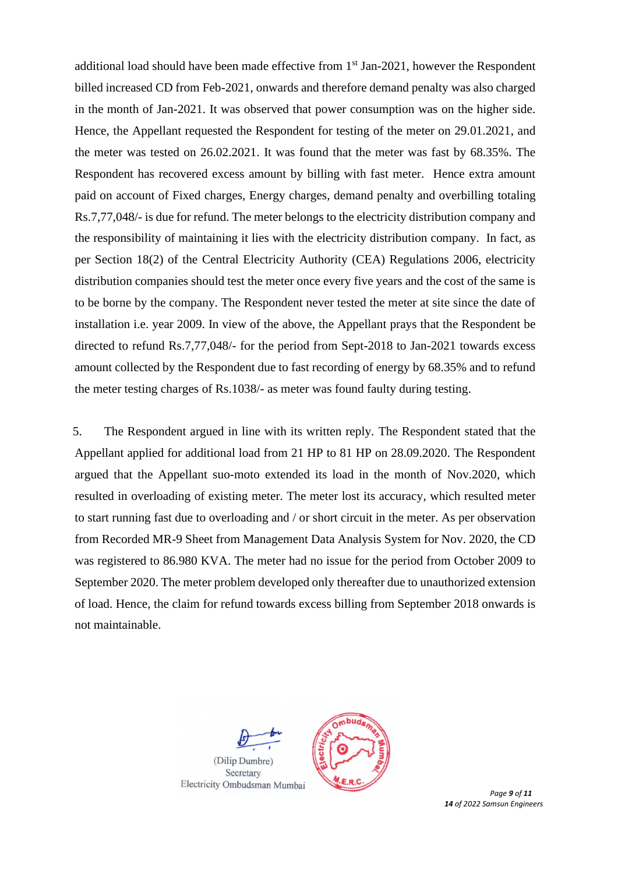additional load should have been made effective from  $1<sup>st</sup>$  Jan-2021, however the Respondent billed increased CD from Feb-2021, onwards and therefore demand penalty was also charged in the month of Jan-2021. It was observed that power consumption was on the higher side. Hence, the Appellant requested the Respondent for testing of the meter on 29.01.2021, and the meter was tested on 26.02.2021. It was found that the meter was fast by 68.35%. The Respondent has recovered excess amount by billing with fast meter. Hence extra amount paid on account of Fixed charges, Energy charges, demand penalty and overbilling totaling Rs.7,77,048/- is due for refund. The meter belongs to the electricity distribution company and the responsibility of maintaining it lies with the electricity distribution company. In fact, as per Section 18(2) of the Central Electricity Authority (CEA) Regulations 2006, electricity distribution companies should test the meter once every five years and the cost of the same is to be borne by the company. The Respondent never tested the meter at site since the date of installation i.e. year 2009. In view of the above, the Appellant prays that the Respondent be directed to refund Rs.7,77,048/- for the period from Sept-2018 to Jan-2021 towards excess amount collected by the Respondent due to fast recording of energy by 68.35% and to refund the meter testing charges of Rs.1038/- as meter was found faulty during testing.

5. The Respondent argued in line with its written reply. The Respondent stated that the Appellant applied for additional load from 21 HP to 81 HP on 28.09.2020. The Respondent argued that the Appellant suo-moto extended its load in the month of Nov.2020, which resulted in overloading of existing meter. The meter lost its accuracy, which resulted meter to start running fast due to overloading and / or short circuit in the meter. As per observation from Recorded MR-9 Sheet from Management Data Analysis System for Nov. 2020, the CD was registered to 86.980 KVA. The meter had no issue for the period from October 2009 to September 2020. The meter problem developed only thereafter due to unauthorized extension of load. Hence, the claim for refund towards excess billing from September 2018 onwards is not maintainable.





 *Page 9 of 11 14 of 2022 Samsun Engineers*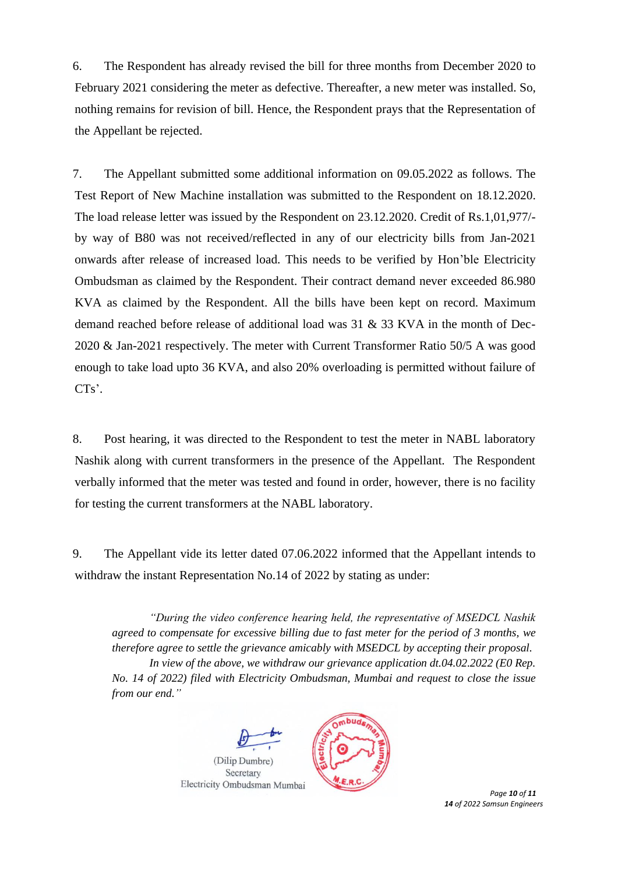6. The Respondent has already revised the bill for three months from December 2020 to February 2021 considering the meter as defective. Thereafter, a new meter was installed. So, nothing remains for revision of bill. Hence, the Respondent prays that the Representation of the Appellant be rejected.

7. The Appellant submitted some additional information on 09.05.2022 as follows. The Test Report of New Machine installation was submitted to the Respondent on 18.12.2020. The load release letter was issued by the Respondent on 23.12.2020. Credit of Rs.1,01,977/ by way of B80 was not received/reflected in any of our electricity bills from Jan-2021 onwards after release of increased load. This needs to be verified by Hon'ble Electricity Ombudsman as claimed by the Respondent. Their contract demand never exceeded 86.980 KVA as claimed by the Respondent. All the bills have been kept on record. Maximum demand reached before release of additional load was 31 & 33 KVA in the month of Dec-2020 & Jan-2021 respectively. The meter with Current Transformer Ratio 50/5 A was good enough to take load upto 36 KVA, and also 20% overloading is permitted without failure of CTs'.

8. Post hearing, it was directed to the Respondent to test the meter in NABL laboratory Nashik along with current transformers in the presence of the Appellant. The Respondent verbally informed that the meter was tested and found in order, however, there is no facility for testing the current transformers at the NABL laboratory.

9. The Appellant vide its letter dated 07.06.2022 informed that the Appellant intends to withdraw the instant Representation No.14 of 2022 by stating as under:

*"During the video conference hearing held, the representative of MSEDCL Nashik agreed to compensate for excessive billing due to fast meter for the period of 3 months, we therefore agree to settle the grievance amicably with MSEDCL by accepting their proposal. In view of the above, we withdraw our grievance application dt.04.02.2022 (E0 Rep. No. 14 of 2022) filed with Electricity Ombudsman, Mumbai and request to close the issue from our end."*





 *Page 10 of 11 14 of 2022 Samsun Engineers*